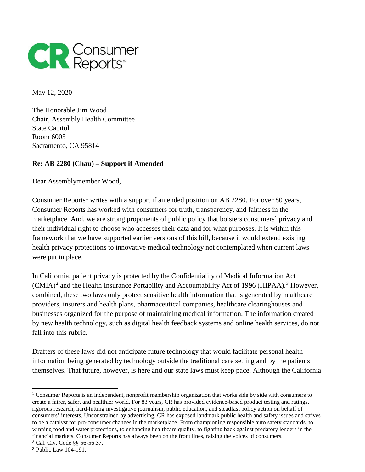

May 12, 2020

The Honorable Jim Wood Chair, Assembly Health Committee State Capitol Room 6005 Sacramento, CA 95814

## **Re: AB 2280 (Chau) – Support if Amended**

Dear Assemblymember Wood,

Consumer Reports<sup>[1](#page-0-0)</sup> writes with a support if amended position on AB 2280. For over 80 years, Consumer Reports has worked with consumers for truth, transparency, and fairness in the marketplace. And, we are strong proponents of public policy that bolsters consumers' privacy and their individual right to choose who accesses their data and for what purposes. It is within this framework that we have supported earlier versions of this bill, because it would extend existing health privacy protections to innovative medical technology not contemplated when current laws were put in place.

In California, patient privacy is protected by the Confidentiality of Medical Information Act  $(CMIA)^2$  $(CMIA)^2$  and the Health Insurance Portability and Accountability Act of 1996 (HIPAA).<sup>[3](#page-0-2)</sup> However, combined, these two laws only protect sensitive health information that is generated by healthcare providers, insurers and health plans, pharmaceutical companies, healthcare clearinghouses and businesses organized for the purpose of maintaining medical information. The information created by new health technology, such as digital health feedback systems and online health services, do not fall into this rubric.

Drafters of these laws did not anticipate future technology that would facilitate personal health information being generated by technology outside the traditional care setting and by the patients themselves. That future, however, is here and our state laws must keep pace. Although the California

<span id="page-0-0"></span> $\ddot{ }$ <sup>1</sup> Consumer Reports is an independent, nonprofit membership organization that works side by side with consumers to create a fairer, safer, and healthier world. For 83 years, CR has provided evidence-based product testing and ratings, rigorous research, hard-hitting investigative journalism, public education, and steadfast policy action on behalf of consumers' interests. Unconstrained by advertising, CR has exposed landmark public health and safety issues and strives to be a catalyst for pro-consumer changes in the marketplace. From championing responsible auto safety standards, to winning food and water protections, to enhancing healthcare quality, to fighting back against predatory lenders in the financial markets, Consumer Reports has always been on the front lines, raising the voices of consumers. <sup>2</sup> [Cal. Civ. Code §§ 56-56.37.](https://leginfo.legislature.ca.gov/faces/codes_displayexpandedbranch.xhtml?tocCode=CIV&division=1.&title=&part=2.6.&chapter=&article=)

<span id="page-0-2"></span><span id="page-0-1"></span><sup>3</sup> Public Law 104-191.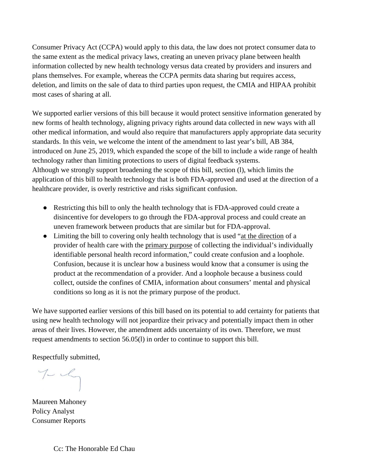Consumer Privacy Act (CCPA) would apply to this data, the law does not protect consumer data to the same extent as the medical privacy laws, creating an uneven privacy plane between health information collected by new health technology versus data created by providers and insurers and plans themselves. For example, whereas the CCPA permits data sharing but requires access, deletion, and limits on the sale of data to third parties upon request, the CMIA and HIPAA prohibit most cases of sharing at all.

We supported earlier versions of this bill because it would protect sensitive information generated by new forms of health technology, aligning privacy rights around data collected in new ways with all other medical information, and would also require that manufacturers apply appropriate data security standards. In this vein, we welcome the intent of the amendment to last year's bill, AB 384, introduced on June 25, 2019, which expanded the scope of the bill to include a wide range of health technology rather than limiting protections to users of digital feedback systems. Although we strongly support broadening the scope of this bill, section (l), which limits the application of this bill to health technology that is both FDA-approved and used at the direction of a healthcare provider, is overly restrictive and risks significant confusion.

- Restricting this bill to only the health technology that is FDA-approved could create a disincentive for developers to go through the FDA-approval process and could create an uneven framework between products that are similar but for FDA-approval.
- Limiting the bill to covering only health technology that is used "at the direction of a provider of health care with the primary purpose of collecting the individual's individually identifiable personal health record information," could create confusion and a loophole. Confusion, because it is unclear how a business would know that a consumer is using the product at the recommendation of a provider. And a loophole because a business could collect, outside the confines of CMIA, information about consumers' mental and physical conditions so long as it is not the primary purpose of the product.

We have supported earlier versions of this bill based on its potential to add certainty for patients that using new health technology will not jeopardize their privacy and potentially impact them in other areas of their lives. However, the amendment adds uncertainty of its own. Therefore, we must request amendments to section 56.05(l) in order to continue to support this bill.

Respectfully submitted,

 $7 - 1$ 

Maureen Mahoney Policy Analyst Consumer Reports